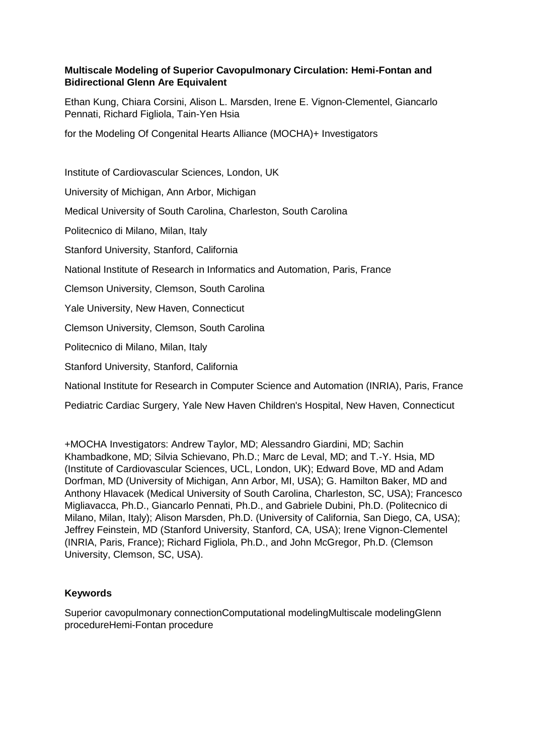### **Multiscale Modeling of Superior Cavopulmonary Circulation: Hemi-Fontan and Bidirectional Glenn Are Equivalent**

Ethan Kung, Chiara Corsini, Alison L. Marsden, Irene E. Vignon-Clementel, Giancarlo Pennati, Richard Figliola, Tain-Yen Hsia

for the Modeling Of Congenital Hearts Alliance (MOCHA)+ Investigators

Institute of Cardiovascular Sciences, London, UK University of Michigan, Ann Arbor, Michigan Medical University of South Carolina, Charleston, South Carolina Politecnico di Milano, Milan, Italy Stanford University, Stanford, California National Institute of Research in Informatics and Automation, Paris, France Clemson University, Clemson, South Carolina Yale University, New Haven, Connecticut Clemson University, Clemson, South Carolina Politecnico di Milano, Milan, Italy Stanford University, Stanford, California National Institute for Research in Computer Science and Automation (INRIA), Paris, France Pediatric Cardiac Surgery, Yale New Haven Children's Hospital, New Haven, Connecticut

+MOCHA Investigators: Andrew Taylor, MD; Alessandro Giardini, MD; Sachin Khambadkone, MD; Silvia Schievano, Ph.D.; Marc de Leval, MD; and T.-Y. Hsia, MD (Institute of Cardiovascular Sciences, UCL, London, UK); Edward Bove, MD and Adam Dorfman, MD (University of Michigan, Ann Arbor, MI, USA); G. Hamilton Baker, MD and Anthony Hlavacek (Medical University of South Carolina, Charleston, SC, USA); Francesco Migliavacca, Ph.D., Giancarlo Pennati, Ph.D., and Gabriele Dubini, Ph.D. (Politecnico di Milano, Milan, Italy); Alison Marsden, Ph.D. (University of California, San Diego, CA, USA); Jeffrey Feinstein, MD (Stanford University, Stanford, CA, USA); Irene Vignon-Clementel (INRIA, Paris, France); Richard Figliola, Ph.D., and John McGregor, Ph.D. (Clemson University, Clemson, SC, USA).

# **Keywords**

Superior cavopulmonary connectionComputational modelingMultiscale modelingGlenn procedureHemi-Fontan procedure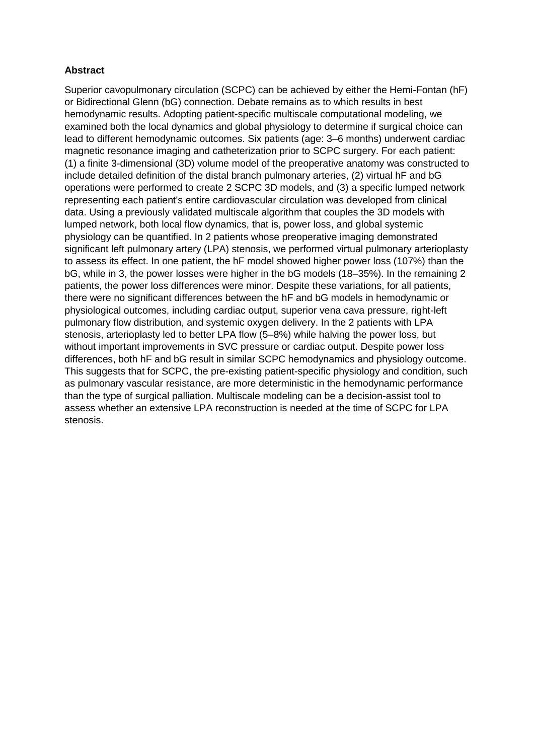## **Abstract**

Superior cavopulmonary circulation (SCPC) can be achieved by either the Hemi-Fontan (hF) or Bidirectional Glenn (bG) connection. Debate remains as to which results in best hemodynamic results. Adopting patient-specific multiscale computational modeling, we examined both the local dynamics and global physiology to determine if surgical choice can lead to different hemodynamic outcomes. Six patients (age: 3–6 months) underwent cardiac magnetic resonance imaging and catheterization prior to SCPC surgery. For each patient: (1) a finite 3-dimensional (3D) volume model of the preoperative anatomy was constructed to include detailed definition of the distal branch pulmonary arteries, (2) virtual hF and bG operations were performed to create 2 SCPC 3D models, and (3) a specific lumped network representing each patient's entire cardiovascular circulation was developed from clinical data. Using a previously validated multiscale algorithm that couples the 3D models with lumped network, both local flow dynamics, that is, power loss, and global systemic physiology can be quantified. In 2 patients whose preoperative imaging demonstrated significant left pulmonary artery (LPA) stenosis, we performed virtual pulmonary arterioplasty to assess its effect. In one patient, the hF model showed higher power loss (107%) than the bG, while in 3, the power losses were higher in the bG models (18–35%). In the remaining 2 patients, the power loss differences were minor. Despite these variations, for all patients, there were no significant differences between the hF and bG models in hemodynamic or physiological outcomes, including cardiac output, superior vena cava pressure, right-left pulmonary flow distribution, and systemic oxygen delivery. In the 2 patients with LPA stenosis, arterioplasty led to better LPA flow (5–8%) while halving the power loss, but without important improvements in SVC pressure or cardiac output. Despite power loss differences, both hF and bG result in similar SCPC hemodynamics and physiology outcome. This suggests that for SCPC, the pre-existing patient-specific physiology and condition, such as pulmonary vascular resistance, are more deterministic in the hemodynamic performance than the type of surgical palliation. Multiscale modeling can be a decision-assist tool to assess whether an extensive LPA reconstruction is needed at the time of SCPC for LPA stenosis.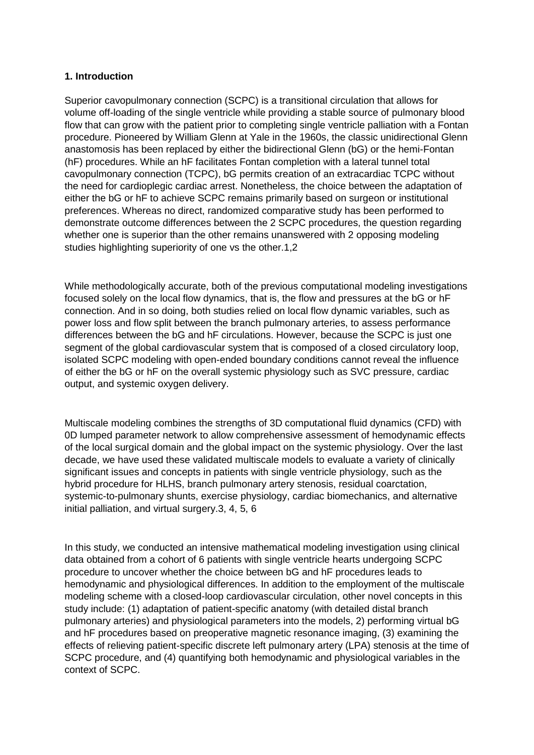### **1. Introduction**

Superior cavopulmonary connection (SCPC) is a transitional circulation that allows for volume off-loading of the single ventricle while providing a stable source of pulmonary blood flow that can grow with the patient prior to completing single ventricle palliation with a Fontan procedure. Pioneered by William Glenn at Yale in the 1960s, the classic unidirectional Glenn anastomosis has been replaced by either the bidirectional Glenn (bG) or the hemi-Fontan (hF) procedures. While an hF facilitates Fontan completion with a lateral tunnel total cavopulmonary connection (TCPC), bG permits creation of an extracardiac TCPC without the need for cardioplegic cardiac arrest. Nonetheless, the choice between the adaptation of either the bG or hF to achieve SCPC remains primarily based on surgeon or institutional preferences. Whereas no direct, randomized comparative study has been performed to demonstrate outcome differences between the 2 SCPC procedures, the question regarding whether one is superior than the other remains unanswered with 2 opposing modeling studies highlighting superiority of one vs the other.1,2

While methodologically accurate, both of the previous computational modeling investigations focused solely on the local flow dynamics, that is, the flow and pressures at the bG or hF connection. And in so doing, both studies relied on local flow dynamic variables, such as power loss and flow split between the branch pulmonary arteries, to assess performance differences between the bG and hF circulations. However, because the SCPC is just one segment of the global cardiovascular system that is composed of a closed circulatory loop, isolated SCPC modeling with open-ended boundary conditions cannot reveal the influence of either the bG or hF on the overall systemic physiology such as SVC pressure, cardiac output, and systemic oxygen delivery.

Multiscale modeling combines the strengths of 3D computational fluid dynamics (CFD) with 0D lumped parameter network to allow comprehensive assessment of hemodynamic effects of the local surgical domain and the global impact on the systemic physiology. Over the last decade, we have used these validated multiscale models to evaluate a variety of clinically significant issues and concepts in patients with single ventricle physiology, such as the hybrid procedure for HLHS, branch pulmonary artery stenosis, residual coarctation, systemic-to-pulmonary shunts, exercise physiology, cardiac biomechanics, and alternative initial palliation, and virtual surgery.3, 4, 5, 6

In this study, we conducted an intensive mathematical modeling investigation using clinical data obtained from a cohort of 6 patients with single ventricle hearts undergoing SCPC procedure to uncover whether the choice between bG and hF procedures leads to hemodynamic and physiological differences. In addition to the employment of the multiscale modeling scheme with a closed-loop cardiovascular circulation, other novel concepts in this study include: (1) adaptation of patient-specific anatomy (with detailed distal branch pulmonary arteries) and physiological parameters into the models, 2) performing virtual bG and hF procedures based on preoperative magnetic resonance imaging, (3) examining the effects of relieving patient-specific discrete left pulmonary artery (LPA) stenosis at the time of SCPC procedure, and (4) quantifying both hemodynamic and physiological variables in the context of SCPC.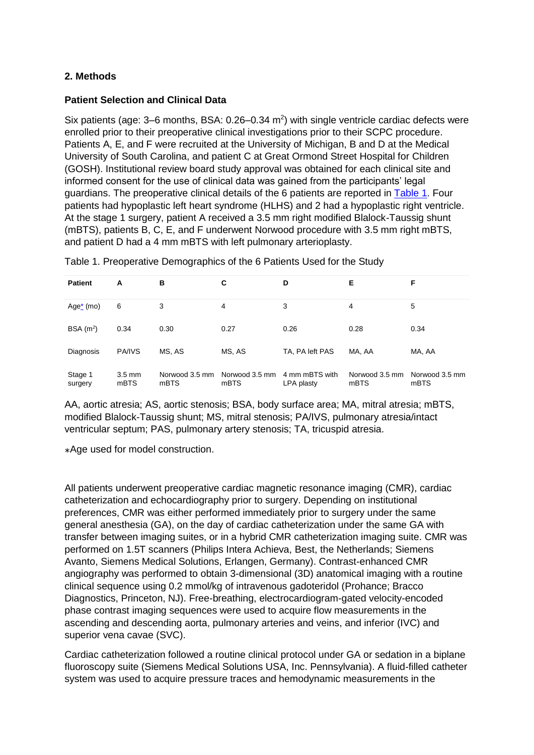## **2. Methods**

### **Patient Selection and Clinical Data**

Six patients (age:  $3-6$  months, BSA: 0.26-0.34 m<sup>2</sup>) with single ventricle cardiac defects were enrolled prior to their preoperative clinical investigations prior to their SCPC procedure. Patients A, E, and F were recruited at the University of Michigan, B and D at the Medical University of South Carolina, and patient C at Great Ormond Street Hospital for Children (GOSH). Institutional review board study approval was obtained for each clinical site and informed consent for the use of clinical data was gained from the participants' legal guardians. The preoperative clinical details of the 6 patients are reported in [Table 1.](https://www.sciencedirect.com/science/article/pii/S104306791930276X?via%3Dihub#tbl0001) Four patients had hypoplastic left heart syndrome (HLHS) and 2 had a hypoplastic right ventricle. At the stage 1 surgery, patient A received a 3.5 mm right modified Blalock-Taussig shunt (mBTS), patients B, C, E, and F underwent Norwood procedure with 3.5 mm right mBTS, and patient D had a 4 mm mBTS with left pulmonary arterioplasty.

| <b>Patient</b>     | A                        | в                      | С                      | D                            | Е                      | F                      |
|--------------------|--------------------------|------------------------|------------------------|------------------------------|------------------------|------------------------|
| Age $*$ (mo)       | 6                        | 3                      | 4                      | 3                            | 4                      | 5                      |
| BSA $(m2)$         | 0.34                     | 0.30                   | 0.27                   | 0.26                         | 0.28                   | 0.34                   |
| Diagnosis          | <b>PA/IVS</b>            | MS, AS                 | MS, AS                 | TA, PA left PAS              | MA. AA                 | MA, AA                 |
| Stage 1<br>surgery | $3.5 \text{ mm}$<br>mBTS | Norwood 3.5 mm<br>mBTS | Norwood 3.5 mm<br>mBTS | 4 mm mBTS with<br>LPA plasty | Norwood 3.5 mm<br>mBTS | Norwood 3.5 mm<br>mBTS |

Table 1. Preoperative Demographics of the 6 Patients Used for the Study

AA, aortic atresia; AS, aortic stenosis; BSA, body surface area; MA, mitral atresia; mBTS, modified Blalock-Taussig shunt; MS, mitral stenosis; PA/IVS, pulmonary atresia/intact ventricular septum; PAS, pulmonary artery stenosis; TA, tricuspid atresia.

⁎Age used for model construction.

All patients underwent preoperative cardiac magnetic resonance imaging (CMR), cardiac catheterization and echocardiography prior to surgery. Depending on institutional preferences, CMR was either performed immediately prior to surgery under the same general anesthesia (GA), on the day of cardiac catheterization under the same GA with transfer between imaging suites, or in a hybrid CMR catheterization imaging suite. CMR was performed on 1.5T scanners (Philips Intera Achieva, Best, the Netherlands; Siemens Avanto, Siemens Medical Solutions, Erlangen, Germany). Contrast-enhanced CMR angiography was performed to obtain 3-dimensional (3D) anatomical imaging with a routine clinical sequence using 0.2 mmol/kg of intravenous gadoteridol (Prohance; Bracco Diagnostics, Princeton, NJ). Free-breathing, electrocardiogram-gated velocity-encoded phase contrast imaging sequences were used to acquire flow measurements in the ascending and descending aorta, pulmonary arteries and veins, and inferior (IVC) and superior vena cavae (SVC).

Cardiac catheterization followed a routine clinical protocol under GA or sedation in a biplane fluoroscopy suite (Siemens Medical Solutions USA, Inc. Pennsylvania). A fluid-filled catheter system was used to acquire pressure traces and hemodynamic measurements in the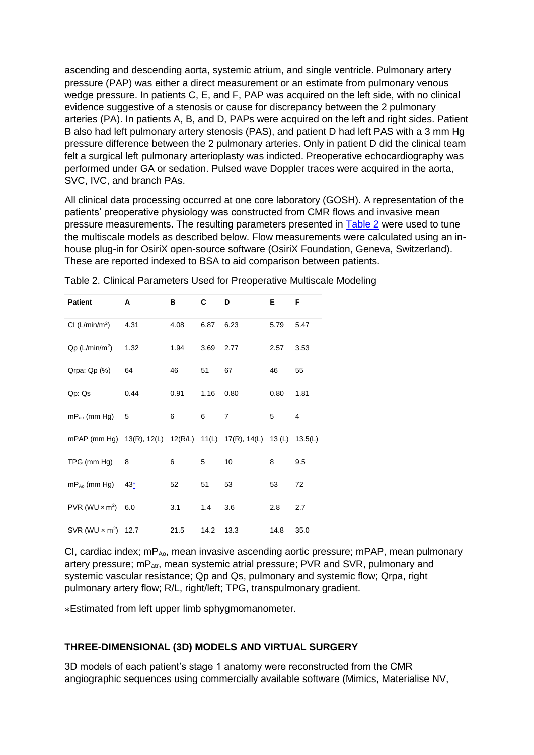ascending and descending aorta, systemic atrium, and single ventricle. Pulmonary artery pressure (PAP) was either a direct measurement or an estimate from pulmonary venous wedge pressure. In patients C, E, and F, PAP was acquired on the left side, with no clinical evidence suggestive of a stenosis or cause for discrepancy between the 2 pulmonary arteries (PA). In patients A, B, and D, PAPs were acquired on the left and right sides. Patient B also had left pulmonary artery stenosis (PAS), and patient D had left PAS with a 3 mm Hg pressure difference between the 2 pulmonary arteries. Only in patient D did the clinical team felt a surgical left pulmonary arterioplasty was indicted. Preoperative echocardiography was performed under GA or sedation. Pulsed wave Doppler traces were acquired in the aorta, SVC, IVC, and branch PAs.

All clinical data processing occurred at one core laboratory (GOSH). A representation of the patients' preoperative physiology was constructed from CMR flows and invasive mean pressure measurements. The resulting parameters presented in [Table 2](https://www.sciencedirect.com/science/article/pii/S104306791930276X?via%3Dihub#tbl0002) were used to tune the multiscale models as described below. Flow measurements were calculated using an inhouse plug-in for OsiriX open-source software (OsiriX Foundation, Geneva, Switzerland). These are reported indexed to BSA to aid comparison between patients.

| <b>Patient</b>                                                      | Α     | в    | С    | D              | E.   | F    |
|---------------------------------------------------------------------|-------|------|------|----------------|------|------|
| CI (L/min/m <sup>2</sup> )                                          | 4.31  | 4.08 | 6.87 | 6.23           | 5.79 | 5.47 |
| $Qp$ (L/min/m <sup>2</sup> )                                        | 1.32  | 1.94 | 3.69 | 2.77           | 2.57 | 3.53 |
| Qrpa: Qp (%)                                                        | 64    | 46   | 51   | 67             | 46   | 55   |
| Qp: Qs                                                              | 0.44  | 0.91 | 1.16 | 0.80           | 0.80 | 1.81 |
| $mP_{\text{atr}}$ (mm Hg)                                           | 5     | 6    | 6    | $\overline{7}$ | 5    | 4    |
| mPAP (mm Hg) 13(R), 12(L) 12(R/L) 11(L) 17(R), 14(L) 13 (L) 13.5(L) |       |      |      |                |      |      |
| TPG (mm Hg)                                                         | 8     | 6    | 5    | 10             | 8    | 9.5  |
| $mP_{A0}$ (mm Hg)                                                   | $43*$ | 52   | 51   | 53             | 53   | 72   |
| $PVR (WU \times m^2)$                                               | 6.0   | 3.1  | 1.4  | 3.6            | 2.8  | 2.7  |
| SVR (WU $\times$ m <sup>2</sup> ) 12.7                              |       | 21.5 | 14.2 | 13.3           | 14.8 | 35.0 |

Table 2. Clinical Parameters Used for Preoperative Multiscale Modeling

CI, cardiac index;  $mP_{Ao}$ , mean invasive ascending aortic pressure;  $mPAP$ , mean pulmonary artery pressure; mP<sub>atr</sub>, mean systemic atrial pressure; PVR and SVR, pulmonary and systemic vascular resistance; Qp and Qs, pulmonary and systemic flow; Qrpa, right pulmonary artery flow; R/L, right/left; TPG, transpulmonary gradient.

⁎Estimated from left upper limb sphygmomanometer.

# **THREE-DIMENSIONAL (3D) MODELS AND VIRTUAL SURGERY**

3D models of each patient's stage 1 anatomy were reconstructed from the CMR angiographic sequences using commercially available software (Mimics, Materialise NV,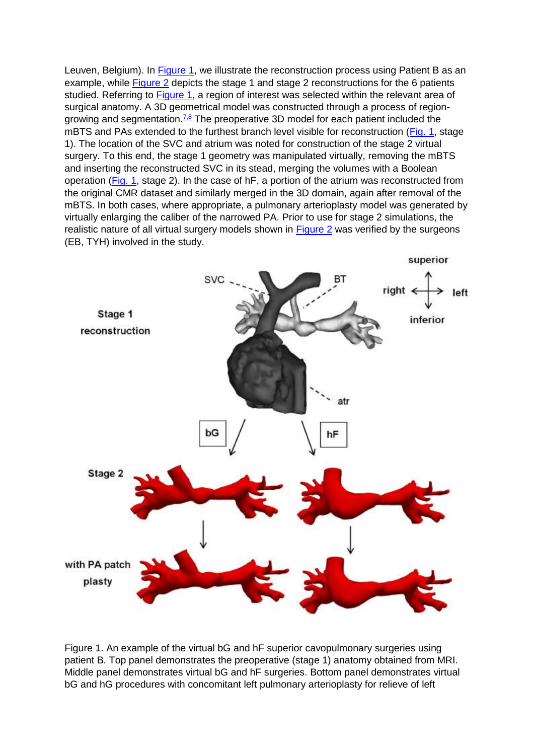Leuven, Belgium). In **Figure 1**, we illustrate the reconstruction process using Patient B as an example, while **[Figure 2](https://www.sciencedirect.com/science/article/pii/S104306791930276X?via%3Dihub#fig0002)** depicts the stage 1 and stage 2 reconstructions for the 6 patients studied. Referring to [Figure 1,](https://www.sciencedirect.com/science/article/pii/S104306791930276X?via%3Dihub#fig0001) a region of interest was selected within the relevant area of surgical anatomy. A 3D geometrical model was constructed through a process of regiongrowing and segmentation.<sup> $7,8$  $7,8$ </sup> The preoperative 3D model for each patient included the mBTS and PAs extended to the furthest branch level visible for reconstruction [\(Fig. 1,](https://www.sciencedirect.com/science/article/pii/S104306791930276X?via%3Dihub#fig0001) stage 1). The location of the SVC and atrium was noted for construction of the stage 2 virtual surgery. To this end, the stage 1 geometry was manipulated virtually, removing the mBTS and inserting the reconstructed SVC in its stead, merging the volumes with a Boolean operation [\(Fig. 1,](https://www.sciencedirect.com/science/article/pii/S104306791930276X?via%3Dihub#fig0001) stage 2). In the case of hF, a portion of the atrium was reconstructed from the original CMR dataset and similarly merged in the 3D domain, again after removal of the mBTS. In both cases, where appropriate, a pulmonary arterioplasty model was generated by virtually enlarging the caliber of the narrowed PA. Prior to use for stage 2 simulations, the realistic nature of all virtual surgery models shown in **[Figure 2](https://www.sciencedirect.com/science/article/pii/S104306791930276X?via%3Dihub#fig0002)** was verified by the surgeons (EB, TYH) involved in the study.



Figure 1. An example of the virtual bG and hF superior cavopulmonary surgeries using patient B. Top panel demonstrates the preoperative (stage 1) anatomy obtained from MRI. Middle panel demonstrates virtual bG and hF surgeries. Bottom panel demonstrates virtual bG and hG procedures with concomitant left pulmonary arterioplasty for relieve of left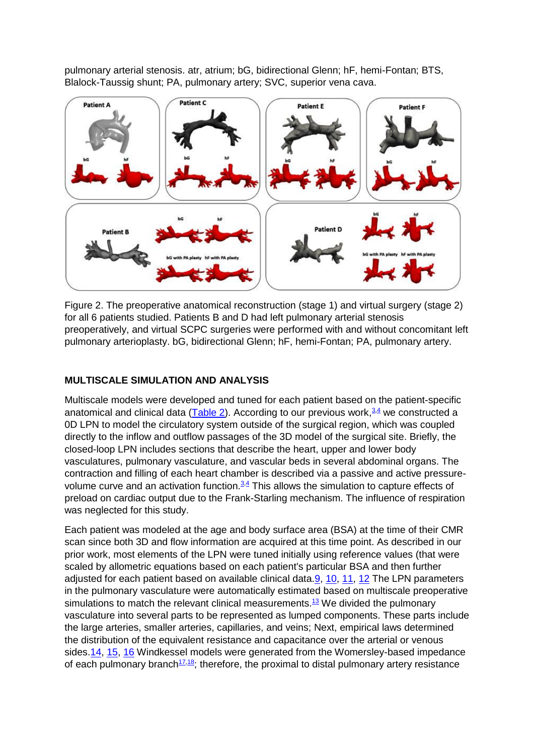pulmonary arterial stenosis. atr, atrium; bG, bidirectional Glenn; hF, hemi-Fontan; BTS, Blalock-Taussig shunt; PA, pulmonary artery; SVC, superior vena cava.



Figure 2. The preoperative anatomical reconstruction (stage 1) and virtual surgery (stage 2) for all 6 patients studied. Patients B and D had left pulmonary arterial stenosis preoperatively, and virtual SCPC surgeries were performed with and without concomitant left pulmonary arterioplasty. bG, bidirectional Glenn; hF, hemi-Fontan; PA, pulmonary artery.

# **MULTISCALE SIMULATION AND ANALYSIS**

Multiscale models were developed and tuned for each patient based on the patient-specific anatomical and clinical data [\(Table 2\)](https://www.sciencedirect.com/science/article/pii/S104306791930276X?via%3Dihub#tbl0002). According to our previous work, $3.4$  $3.4$  we constructed a 0D LPN to model the circulatory system outside of the surgical region, which was coupled directly to the inflow and outflow passages of the 3D model of the surgical site. Briefly, the closed-loop LPN includes sections that describe the heart, upper and lower body vasculatures, pulmonary vasculature, and vascular beds in several abdominal organs. The contraction and filling of each heart chamber is described via a passive and active pressurevolume curve and an activation function. $3.4$  $3.4$  This allows the simulation to capture effects of preload on cardiac output due to the Frank-Starling mechanism. The influence of respiration was neglected for this study.

Each patient was modeled at the age and body surface area (BSA) at the time of their CMR scan since both 3D and flow information are acquired at this time point. As described in our prior work, most elements of the LPN were tuned initially using reference values (that were scaled by allometric equations based on each patient's particular BSA and then further adjusted for each patient based on available clinical data[.9,](https://www.sciencedirect.com/science/article/pii/S104306791930276X?via%3Dihub#bib0009) [10,](https://www.sciencedirect.com/science/article/pii/S104306791930276X?via%3Dihub#bib0010) [11,](https://www.sciencedirect.com/science/article/pii/S104306791930276X?via%3Dihub#bib0011) [12](https://www.sciencedirect.com/science/article/pii/S104306791930276X?via%3Dihub#bib0012) The LPN parameters in the pulmonary vasculature were automatically estimated based on multiscale preoperative simulations to match the relevant clinical measurements.<sup>[13](https://www.sciencedirect.com/science/article/pii/S104306791930276X?via%3Dihub#bib0013)</sup> We divided the pulmonary vasculature into several parts to be represented as lumped components. These parts include the large arteries, smaller arteries, capillaries, and veins; Next, empirical laws determined the distribution of the equivalent resistance and capacitance over the arterial or venous sides[.14,](https://www.sciencedirect.com/science/article/pii/S104306791930276X?via%3Dihub#bib0014) [15,](https://www.sciencedirect.com/science/article/pii/S104306791930276X?via%3Dihub#bib0015) [16](https://www.sciencedirect.com/science/article/pii/S104306791930276X?via%3Dihub#bib0016) Windkessel models were generated from the Womersley-based impedance of each pulmonary branch<sup>[17,](https://www.sciencedirect.com/science/article/pii/S104306791930276X?via%3Dihub#bib0017)[18](https://www.sciencedirect.com/science/article/pii/S104306791930276X?via%3Dihub#bib0018)</sup>; therefore, the proximal to distal pulmonary artery resistance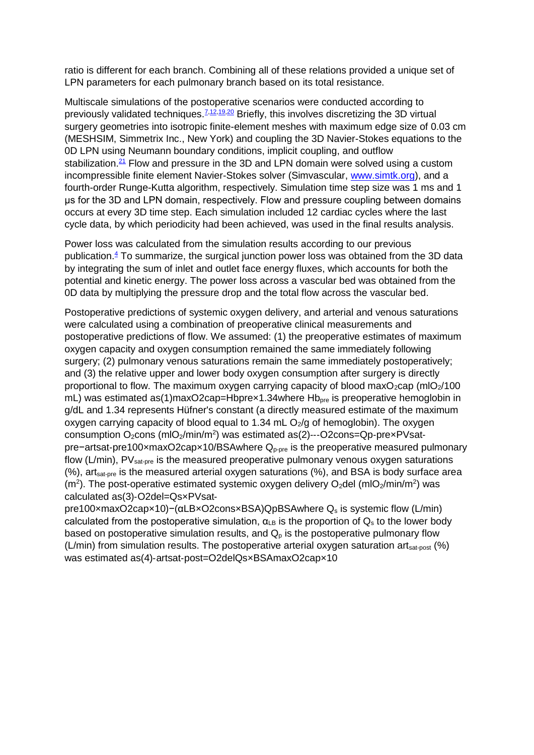ratio is different for each branch. Combining all of these relations provided a unique set of LPN parameters for each pulmonary branch based on its total resistance.

Multiscale simulations of the postoperative scenarios were conducted according to previously validated techniques.<sup> $7,12,19,20$  $7,12,19,20$  $7,12,19,20$  $7,12,19,20$ </sup> Briefly, this involves discretizing the 3D virtual surgery geometries into isotropic finite-element meshes with maximum edge size of 0.03 cm (MESHSIM, Simmetrix Inc., New York) and coupling the 3D Navier-Stokes equations to the 0D LPN using Neumann boundary conditions, implicit coupling, and outflow stabilization. $21$  Flow and pressure in the 3D and LPN domain were solved using a custom incompressible finite element Navier-Stokes solver (Simvascular, [www.simtk.org\)](http://www.simtk.org/), and a fourth-order Runge-Kutta algorithm, respectively. Simulation time step size was 1 ms and 1 μs for the 3D and LPN domain, respectively. Flow and pressure coupling between domains occurs at every 3D time step. Each simulation included 12 cardiac cycles where the last cycle data, by which periodicity had been achieved, was used in the final results analysis.

Power loss was calculated from the simulation results according to our previous publication[.](https://www.sciencedirect.com/science/article/pii/S104306791930276X?via%3Dihub#bib0004) $4$  To summarize, the surgical junction power loss was obtained from the 3D data by integrating the sum of inlet and outlet face energy fluxes, which accounts for both the potential and kinetic energy. The power loss across a vascular bed was obtained from the 0D data by multiplying the pressure drop and the total flow across the vascular bed.

Postoperative predictions of systemic oxygen delivery, and arterial and venous saturations were calculated using a combination of preoperative clinical measurements and postoperative predictions of flow. We assumed: (1) the preoperative estimates of maximum oxygen capacity and oxygen consumption remained the same immediately following surgery; (2) pulmonary venous saturations remain the same immediately postoperatively; and (3) the relative upper and lower body oxygen consumption after surgery is directly proportional to flow. The maximum oxygen carrying capacity of blood max $O_2$ cap (ml $O_2/100$ mL) was estimated as(1)maxO2cap=Hbprex1.34where  $Hb<sub>pre</sub>$  is preoperative hemoglobin in g/dL and 1.34 represents Hüfner's constant (a directly measured estimate of the maximum oxygen carrying capacity of blood equal to 1.34 mL  $O<sub>2</sub>/g$  of hemoglobin). The oxygen consumption O<sub>2</sub>cons (mlO<sub>2</sub>/min/m<sup>2</sup>) was estimated as(2)---O2cons=Qp-prexPVsatpre−artsat-pre100×maxO2cap×10/BSAwhere Q<sub>p-pre</sub> is the preoperative measured pulmonary flow ( $L/m$ in), P $V_{\text{sat-ore}}$  is the measured preoperative pulmonary venous oxygen saturations (%), art<sub>sat-pre</sub> is the measured arterial oxygen saturations (%), and BSA is body surface area  $(m<sup>2</sup>)$ . The post-operative estimated systemic oxygen delivery O<sub>2</sub>del (mIO<sub>2</sub>/min/m<sup>2</sup>) was calculated as(3)‐O2del=Qs×PVsat‐

pre100xmaxO2capx10)−(αLBxO2consxBSA)QpBSAwhere Q<sub>s</sub> is systemic flow (L/min) calculated from the postoperative simulation,  $\alpha_{LB}$  is the proportion of  $Q_s$  to the lower body based on postoperative simulation results, and  $Q<sub>p</sub>$  is the postoperative pulmonary flow (L/min) from simulation results. The postoperative arterial oxygen saturation art $_{sat\text{-}post}$  (%) was estimated as(4)-artsat-post=O2delQsxBSAmaxO2capx10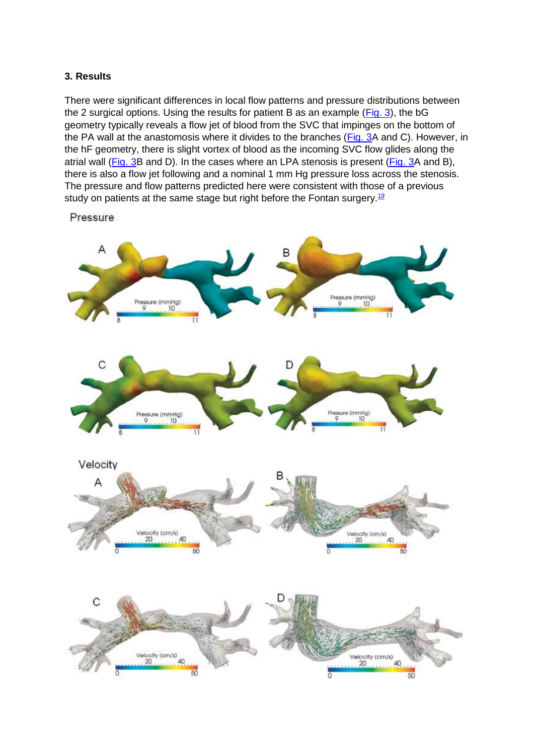#### **3. Results**

There were significant differences in local flow patterns and pressure distributions between the 2 surgical options. Using the results for patient B as an example [\(Fig. 3\)](https://www.sciencedirect.com/science/article/pii/S104306791930276X?via%3Dihub#fig0003), the bG geometry typically reveals a flow jet of blood from the SVC that impinges on the bottom of the PA wall at the anastomosis where it divides to the branches [\(Fig. 3A](https://www.sciencedirect.com/science/article/pii/S104306791930276X?via%3Dihub#fig0003) and C). However, in the hF geometry, there is slight vortex of blood as the incoming SVC flow glides along the atrial wall [\(Fig. 3B](https://www.sciencedirect.com/science/article/pii/S104306791930276X?via%3Dihub#fig0003) and D). In the cases where an LPA stenosis is present [\(Fig. 3A](https://www.sciencedirect.com/science/article/pii/S104306791930276X?via%3Dihub#fig0003) and B), there is also a flow jet following and a nominal 1 mm Hg pressure loss across the stenosis. The pressure and flow patterns predicted here were consistent with those of a previous study on patients at the same stage but right before the Fontan surgery.<sup>[19](https://www.sciencedirect.com/science/article/pii/S104306791930276X?via%3Dihub#bib0019)</sup>



Pressure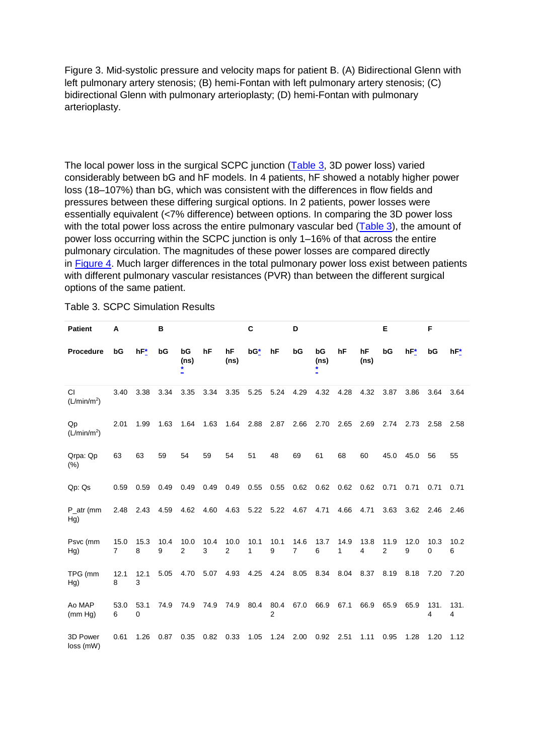Figure 3. Mid-systolic pressure and velocity maps for patient B. (A) Bidirectional Glenn with left pulmonary artery stenosis; (B) hemi-Fontan with left pulmonary artery stenosis; (C) bidirectional Glenn with pulmonary arterioplasty; (D) hemi-Fontan with pulmonary arterioplasty.

The local power loss in the surgical SCPC junction [\(Table 3,](https://www.sciencedirect.com/science/article/pii/S104306791930276X?via%3Dihub#tbl0003) 3D power loss) varied considerably between bG and hF models. In 4 patients, hF showed a notably higher power loss (18–107%) than bG, which was consistent with the differences in flow fields and pressures between these differing surgical options. In 2 patients, power losses were essentially equivalent (<7% difference) between options. In comparing the 3D power loss with the total power loss across the entire pulmonary vascular bed [\(Table 3\)](https://www.sciencedirect.com/science/article/pii/S104306791930276X?via%3Dihub#tbl0003), the amount of power loss occurring within the SCPC junction is only 1–16% of that across the entire pulmonary circulation. The magnitudes of these power losses are compared directly in [Figure 4.](https://www.sciencedirect.com/science/article/pii/S104306791930276X?via%3Dihub#fig0004) Much larger differences in the total pulmonary power loss exist between patients with different pulmonary vascular resistances (PVR) than between the different surgical options of the same patient.

| <b>Patient</b>                 | A                      |                  | в         |                        | C<br>D    |                        |           |                        |                        | Е          |           | F                       |                        |           |                     |           |
|--------------------------------|------------------------|------------------|-----------|------------------------|-----------|------------------------|-----------|------------------------|------------------------|------------|-----------|-------------------------|------------------------|-----------|---------------------|-----------|
| Procedure                      | bG                     | $hF^*$           | bG        | bG<br>(ns)<br>*        | hF        | hF<br>(ns)             | bG*       | hF                     | bG                     | bG<br>(ns) | hF        | hF<br>(n <sub>s</sub> ) | bG                     | hF*       | bG                  | hF*       |
| CI.<br>(L/min/m <sup>2</sup> ) | 3.40                   | 3.38             | 3.34      | 3.35                   | 3.34      | 3.35                   | 5.25      | 5.24                   | 4.29                   | 4.32       | 4.28      | 4.32                    | 3.87                   | 3.86      | 3.64                | 3.64      |
| Qp<br>(L/min/m <sup>2</sup> )  | 2.01                   | 1.99             | 1.63      | 1.64                   | 1.63      | 1.64                   | 2.88      | 2.87                   | 2.66                   | 2.70       | 2.65      | 2.69                    | 2.74                   | 2.73      | 2.58                | 2.58      |
| Qrpa: Qp<br>(% )               | 63                     | 63               | 59        | 54                     | 59        | 54                     | 51        | 48                     | 69                     | 61         | 68        | 60                      | 45.0                   | 45.0      | 56                  | 55        |
| Qp: Qs                         | 0.59                   | 0.59             | 0.49      | 0.49                   | 0.49      | 0.49                   | 0.55      | 0.55                   | 0.62                   | 0.62       | 0.62      | 0.62                    | 0.71                   | 0.71      | 0.71                | 0.71      |
| $P_{atr}$ (mm<br>Hg)           |                        | 2.48 2.43        | 4.59      | 4.62                   | 4.60      | 4.63                   | 5.22      | 5.22                   | 4.67                   | 4.71       |           | 4.66 4.71               | 3.63                   | 3.62      | 2.46                | 2.46      |
| Psvc (mm<br>Hg)                | 15.0<br>$\overline{7}$ | 15.3<br>8        | 10.4<br>9 | 10.0<br>$\overline{2}$ | 10.4<br>3 | 10.0<br>$\overline{2}$ | 10.1<br>1 | 10.1<br>9              | 14.6<br>$\overline{7}$ | 13.7<br>6  | 14.9<br>1 | 13.8<br>4               | 11.9<br>$\overline{2}$ | 12.0<br>9 | 10.3<br>$\mathbf 0$ | 10.2<br>6 |
| TPG (mm<br>Hg)                 | 12.1<br>8              | 12.1<br>3        | 5.05      | 4.70                   | 5.07      | 4.93                   | 4.25      | 4.24                   | 8.05                   | 8.34       | 8.04      | 8.37                    | 8.19                   | 8.18      | 7.20                | 7.20      |
| Ao MAP<br>(mm Hg)              | 53.0<br>6              | 53.1<br>$\Omega$ | 74.9      | 74.9                   | 74.9      | 74.9                   | 80.4      | 80.4<br>$\overline{2}$ | 67.0                   | 66.9       | 67.1      | 66.9                    | 65.9                   | 65.9      | 131.<br>4           | 131.<br>4 |
| 3D Power<br>loss (mW)          | 0.61                   | 1.26             | 0.87      | 0.35                   | 0.82      | 0.33                   | 1.05      | 1.24                   | 2.00                   | 0.92       | 2.51      | 1.11                    | 0.95                   | 1.28      | 1.20                | 1.12      |

Table 3. SCPC Simulation Results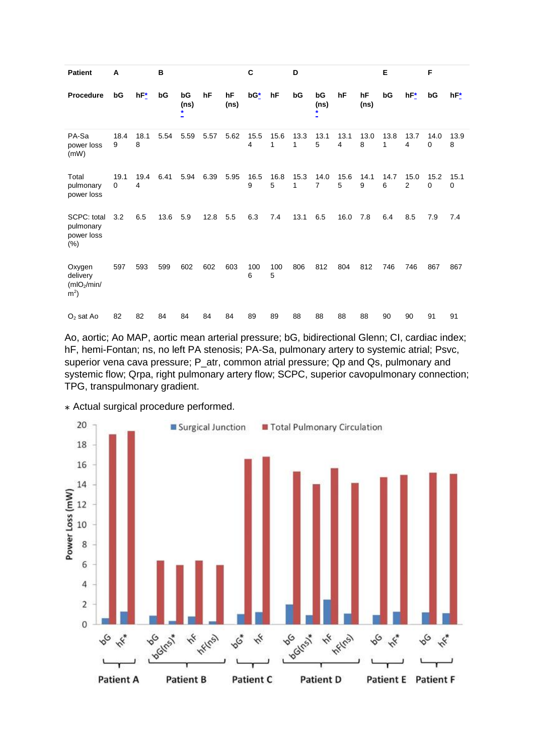| <b>Patient</b>                                                  | A                |            | B    |                       |      | C<br>D     |           |           |           |                        |           | E          |           | F                      |           |                  |
|-----------------------------------------------------------------|------------------|------------|------|-----------------------|------|------------|-----------|-----------|-----------|------------------------|-----------|------------|-----------|------------------------|-----------|------------------|
| Procedure                                                       | bG               | $hF_{-}^*$ | bG   | bG<br>(ns)<br>$\star$ | hF   | hF<br>(ns) | $bG^*$    | hF        | bG        | bG<br>(ns)<br>$\ast$   | hF        | hF<br>(ns) | bG        | $hF_{-}^*$             | bG        | hF*              |
| PA-Sa<br>power loss<br>(mW)                                     | 18.4<br>9        | 18.1<br>8  | 5.54 | 5.59                  | 5.57 | 5.62       | 15.5<br>4 | 15.6<br>1 | 13.3<br>1 | 13.1<br>5              | 13.1<br>4 | 13.0<br>8  | 13.8<br>1 | 13.7<br>4              | 14.0<br>0 | 13.9<br>8        |
| Total<br>pulmonary<br>power loss                                | 19.1<br>$\Omega$ | 19.4<br>4  | 6.41 | 5.94                  | 6.39 | 5.95       | 16.5<br>9 | 16.8<br>5 | 15.3<br>1 | 14.0<br>$\overline{7}$ | 15.6<br>5 | 14.1<br>9  | 14.7<br>6 | 15.0<br>$\overline{2}$ | 15.2<br>0 | 15.1<br>$\Omega$ |
| SCPC: total<br>pulmonary<br>power loss<br>(% )                  | 3.2              | 6.5        | 13.6 | 5.9                   | 12.8 | 5.5        | 6.3       | 7.4       | 13.1      | 6.5                    | 16.0      | 7.8        | 6.4       | 8.5                    | 7.9       | 7.4              |
| Oxygen<br>delivery<br>(mIO <sub>2</sub> /min/<br>m <sup>2</sup> | 597              | 593        | 599  | 602                   | 602  | 603        | 100<br>6  | 100<br>5  | 806       | 812                    | 804       | 812        | 746       | 746                    | 867       | 867              |
| $O2$ sat Ao                                                     | 82               | 82         | 84   | 84                    | 84   | 84         | 89        | 89        | 88        | 88                     | 88        | 88         | 90        | 90                     | 91        | 91               |

Ao, aortic; Ao MAP, aortic mean arterial pressure; bG, bidirectional Glenn; CI, cardiac index; hF, hemi-Fontan; ns, no left PA stenosis; PA-Sa, pulmonary artery to systemic atrial; Psvc, superior vena cava pressure; P\_atr, common atrial pressure; Qp and Qs, pulmonary and systemic flow; Qrpa, right pulmonary artery flow; SCPC, superior cavopulmonary connection; TPG, transpulmonary gradient.

## ⁎ Actual surgical procedure performed.

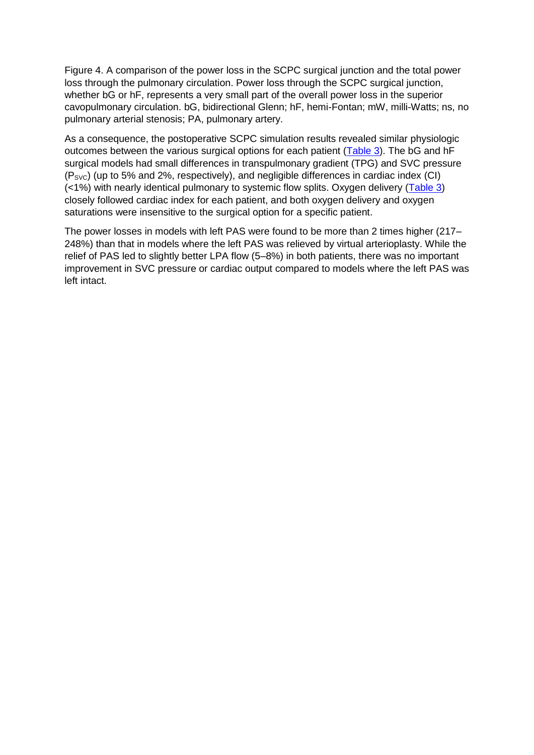Figure 4. A comparison of the power loss in the SCPC surgical junction and the total power loss through the pulmonary circulation. Power loss through the SCPC surgical junction, whether bG or hF, represents a very small part of the overall power loss in the superior cavopulmonary circulation. bG, bidirectional Glenn; hF, hemi-Fontan; mW, milli-Watts; ns, no pulmonary arterial stenosis; PA, pulmonary artery.

As a consequence, the postoperative SCPC simulation results revealed similar physiologic outcomes between the various surgical options for each patient [\(Table 3\)](https://www.sciencedirect.com/science/article/pii/S104306791930276X?via%3Dihub#tbl0003). The bG and hF surgical models had small differences in transpulmonary gradient (TPG) and SVC pressure  $(P<sub>SVC</sub>)$  (up to 5% and 2%, respectively), and negligible differences in cardiac index (CI) (<1%) with nearly identical pulmonary to systemic flow splits. Oxygen delivery [\(Table 3\)](https://www.sciencedirect.com/science/article/pii/S104306791930276X?via%3Dihub#tbl0003) closely followed cardiac index for each patient, and both oxygen delivery and oxygen saturations were insensitive to the surgical option for a specific patient.

The power losses in models with left PAS were found to be more than 2 times higher (217– 248%) than that in models where the left PAS was relieved by virtual arterioplasty. While the relief of PAS led to slightly better LPA flow (5–8%) in both patients, there was no important improvement in SVC pressure or cardiac output compared to models where the left PAS was left intact.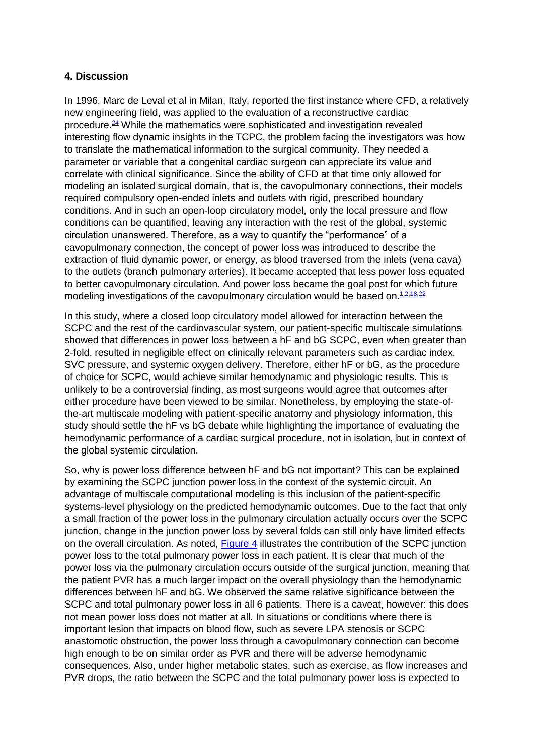### **4. Discussion**

In 1996, Marc de Leval et al in Milan, Italy, reported the first instance where CFD, a relatively new engineering field, was applied to the evaluation of a reconstructive cardiac procedure.[24](https://www.sciencedirect.com/science/article/pii/S104306791930276X?via%3Dihub#bib0024) While the mathematics were sophisticated and investigation revealed interesting flow dynamic insights in the TCPC, the problem facing the investigators was how to translate the mathematical information to the surgical community. They needed a parameter or variable that a congenital cardiac surgeon can appreciate its value and correlate with clinical significance. Since the ability of CFD at that time only allowed for modeling an isolated surgical domain, that is, the cavopulmonary connections, their models required compulsory open-ended inlets and outlets with rigid, prescribed boundary conditions. And in such an open-loop circulatory model, only the local pressure and flow conditions can be quantified, leaving any interaction with the rest of the global, systemic circulation unanswered. Therefore, as a way to quantify the "performance" of a cavopulmonary connection, the concept of power loss was introduced to describe the extraction of fluid dynamic power, or energy, as blood traversed from the inlets (vena cava) to the outlets (branch pulmonary arteries). It became accepted that less power loss equated to better cavopulmonary circulation. And power loss became the goal post for which future modeling investigations of the cavopulmonary circulation would be based on.<sup>[1,](https://www.sciencedirect.com/science/article/pii/S104306791930276X?via%3Dihub#bib0001)[2,](https://www.sciencedirect.com/science/article/pii/S104306791930276X?via%3Dihub#bib0002)[18](https://www.sciencedirect.com/science/article/pii/S104306791930276X?via%3Dihub#bib0018)[,22](https://www.sciencedirect.com/science/article/pii/S104306791930276X?via%3Dihub#bib0022)</sup>

In this study, where a closed loop circulatory model allowed for interaction between the SCPC and the rest of the cardiovascular system, our patient-specific multiscale simulations showed that differences in power loss between a hF and bG SCPC, even when greater than 2-fold, resulted in negligible effect on clinically relevant parameters such as cardiac index, SVC pressure, and systemic oxygen delivery. Therefore, either hF or bG, as the procedure of choice for SCPC, would achieve similar hemodynamic and physiologic results. This is unlikely to be a controversial finding, as most surgeons would agree that outcomes after either procedure have been viewed to be similar. Nonetheless, by employing the state-ofthe-art multiscale modeling with patient-specific anatomy and physiology information, this study should settle the hF vs bG debate while highlighting the importance of evaluating the hemodynamic performance of a cardiac surgical procedure, not in isolation, but in context of the global systemic circulation.

So, why is power loss difference between hF and bG not important? This can be explained by examining the SCPC junction power loss in the context of the systemic circuit. An advantage of multiscale computational modeling is this inclusion of the patient-specific systems-level physiology on the predicted hemodynamic outcomes. Due to the fact that only a small fraction of the power loss in the pulmonary circulation actually occurs over the SCPC junction, change in the junction power loss by several folds can still only have limited effects on the overall circulation. As noted, [Figure 4](https://www.sciencedirect.com/science/article/pii/S104306791930276X?via%3Dihub#fig0004) illustrates the contribution of the SCPC junction power loss to the total pulmonary power loss in each patient. It is clear that much of the power loss via the pulmonary circulation occurs outside of the surgical junction, meaning that the patient PVR has a much larger impact on the overall physiology than the hemodynamic differences between hF and bG. We observed the same relative significance between the SCPC and total pulmonary power loss in all 6 patients. There is a caveat, however: this does not mean power loss does not matter at all. In situations or conditions where there is important lesion that impacts on blood flow, such as severe LPA stenosis or SCPC anastomotic obstruction, the power loss through a cavopulmonary connection can become high enough to be on similar order as PVR and there will be adverse hemodynamic consequences. Also, under higher metabolic states, such as exercise, as flow increases and PVR drops, the ratio between the SCPC and the total pulmonary power loss is expected to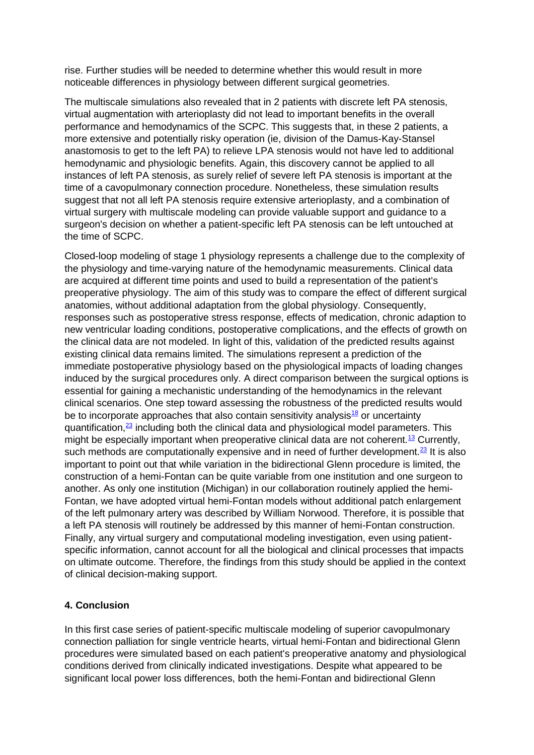rise. Further studies will be needed to determine whether this would result in more noticeable differences in physiology between different surgical geometries.

The multiscale simulations also revealed that in 2 patients with discrete left PA stenosis, virtual augmentation with arterioplasty did not lead to important benefits in the overall performance and hemodynamics of the SCPC. This suggests that, in these 2 patients, a more extensive and potentially risky operation (ie, division of the Damus-Kay-Stansel anastomosis to get to the left PA) to relieve LPA stenosis would not have led to additional hemodynamic and physiologic benefits. Again, this discovery cannot be applied to all instances of left PA stenosis, as surely relief of severe left PA stenosis is important at the time of a cavopulmonary connection procedure. Nonetheless, these simulation results suggest that not all left PA stenosis require extensive arterioplasty, and a combination of virtual surgery with multiscale modeling can provide valuable support and guidance to a surgeon's decision on whether a patient-specific left PA stenosis can be left untouched at the time of SCPC.

Closed-loop modeling of stage 1 physiology represents a challenge due to the complexity of the physiology and time-varying nature of the hemodynamic measurements. Clinical data are acquired at different time points and used to build a representation of the patient's preoperative physiology. The aim of this study was to compare the effect of different surgical anatomies, without additional adaptation from the global physiology. Consequently, responses such as postoperative stress response, effects of medication, chronic adaption to new ventricular loading conditions, postoperative complications, and the effects of growth on the clinical data are not modeled. In light of this, validation of the predicted results against existing clinical data remains limited. The simulations represent a prediction of the immediate postoperative physiology based on the physiological impacts of loading changes induced by the surgical procedures only. A direct comparison between the surgical options is essential for gaining a mechanistic understanding of the hemodynamics in the relevant clinical scenarios. One step toward assessing the robustness of the predicted results would be to incorporate approaches that also contain sensitivity analysis<sup>[18](https://www.sciencedirect.com/science/article/pii/S104306791930276X?via%3Dihub#bib0018)</sup> or uncertainty quantification, $\frac{23}{2}$  $\frac{23}{2}$  $\frac{23}{2}$  including both the clinical data and physiological model parameters. This might be especially important when preoperative clinical data are not coherent.<sup>[13](https://www.sciencedirect.com/science/article/pii/S104306791930276X?via%3Dihub#bib0013)</sup> Currently, such methods are computationally expensive and in need of further development. $\frac{23}{2}$  $\frac{23}{2}$  $\frac{23}{2}$  It is also important to point out that while variation in the bidirectional Glenn procedure is limited, the construction of a hemi-Fontan can be quite variable from one institution and one surgeon to another. As only one institution (Michigan) in our collaboration routinely applied the hemi-Fontan, we have adopted virtual hemi-Fontan models without additional patch enlargement of the left pulmonary artery was described by William Norwood. Therefore, it is possible that a left PA stenosis will routinely be addressed by this manner of hemi-Fontan construction. Finally, any virtual surgery and computational modeling investigation, even using patientspecific information, cannot account for all the biological and clinical processes that impacts on ultimate outcome. Therefore, the findings from this study should be applied in the context of clinical decision-making support.

### **4. Conclusion**

In this first case series of patient-specific multiscale modeling of superior cavopulmonary connection palliation for single ventricle hearts, virtual hemi-Fontan and bidirectional Glenn procedures were simulated based on each patient's preoperative anatomy and physiological conditions derived from clinically indicated investigations. Despite what appeared to be significant local power loss differences, both the hemi-Fontan and bidirectional Glenn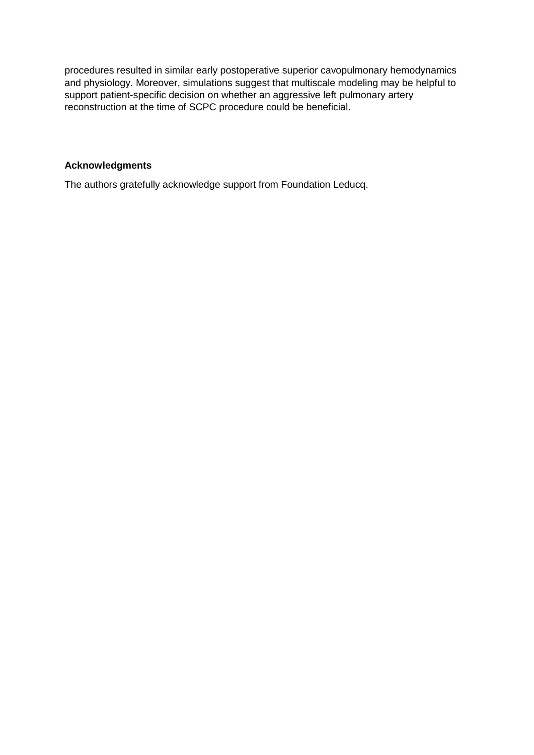procedures resulted in similar early postoperative superior cavopulmonary hemodynamics and physiology. Moreover, simulations suggest that multiscale modeling may be helpful to support patient-specific decision on whether an aggressive left pulmonary artery reconstruction at the time of SCPC procedure could be beneficial.

## **Acknowledgments**

The authors gratefully acknowledge support from Foundation Leducq.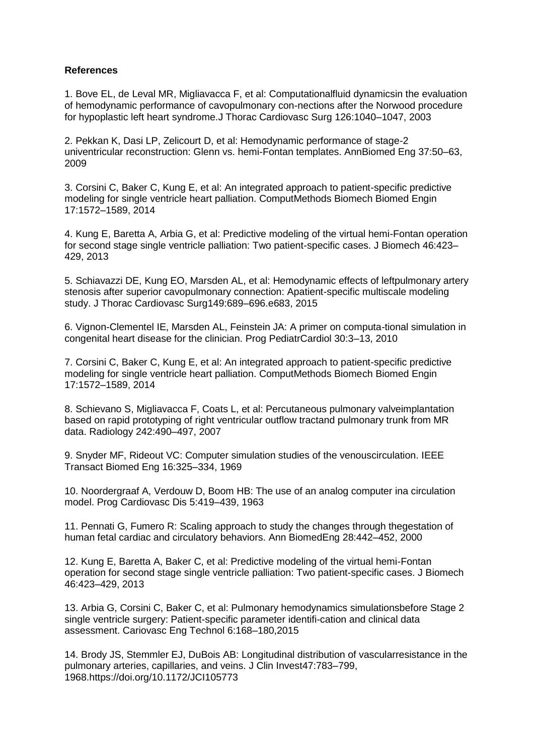### **References**

1. Bove EL, de Leval MR, Migliavacca F, et al: Computationalfluid dynamicsin the evaluation of hemodynamic performance of cavopulmonary con-nections after the Norwood procedure for hypoplastic left heart syndrome.J Thorac Cardiovasc Surg 126:1040–1047, 2003

2. Pekkan K, Dasi LP, Zelicourt D, et al: Hemodynamic performance of stage-2 univentricular reconstruction: Glenn vs. hemi-Fontan templates. AnnBiomed Eng 37:50–63, 2009

3. Corsini C, Baker C, Kung E, et al: An integrated approach to patient-specific predictive modeling for single ventricle heart palliation. ComputMethods Biomech Biomed Engin 17:1572–1589, 2014

4. Kung E, Baretta A, Arbia G, et al: Predictive modeling of the virtual hemi-Fontan operation for second stage single ventricle palliation: Two patient-specific cases. J Biomech 46:423– 429, 2013

5. Schiavazzi DE, Kung EO, Marsden AL, et al: Hemodynamic effects of leftpulmonary artery stenosis after superior cavopulmonary connection: Apatient-specific multiscale modeling study. J Thorac Cardiovasc Surg149:689–696.e683, 2015

6. Vignon-Clementel IE, Marsden AL, Feinstein JA: A primer on computa-tional simulation in congenital heart disease for the clinician. Prog PediatrCardiol 30:3–13, 2010

7. Corsini C, Baker C, Kung E, et al: An integrated approach to patient-specific predictive modeling for single ventricle heart palliation. ComputMethods Biomech Biomed Engin 17:1572–1589, 2014

8. Schievano S, Migliavacca F, Coats L, et al: Percutaneous pulmonary valveimplantation based on rapid prototyping of right ventricular outflow tractand pulmonary trunk from MR data. Radiology 242:490–497, 2007

9. Snyder MF, Rideout VC: Computer simulation studies of the venouscirculation. IEEE Transact Biomed Eng 16:325–334, 1969

10. Noordergraaf A, Verdouw D, Boom HB: The use of an analog computer ina circulation model. Prog Cardiovasc Dis 5:419–439, 1963

11. Pennati G, Fumero R: Scaling approach to study the changes through thegestation of human fetal cardiac and circulatory behaviors. Ann BiomedEng 28:442–452, 2000

12. Kung E, Baretta A, Baker C, et al: Predictive modeling of the virtual hemi-Fontan operation for second stage single ventricle palliation: Two patient-specific cases. J Biomech 46:423–429, 2013

13. Arbia G, Corsini C, Baker C, et al: Pulmonary hemodynamics simulationsbefore Stage 2 single ventricle surgery: Patient-specific parameter identifi-cation and clinical data assessment. Cariovasc Eng Technol 6:168–180,2015

14. Brody JS, Stemmler EJ, DuBois AB: Longitudinal distribution of vascularresistance in the pulmonary arteries, capillaries, and veins. J Clin Invest47:783–799, 1968.https://doi.org/10.1172/JCI105773